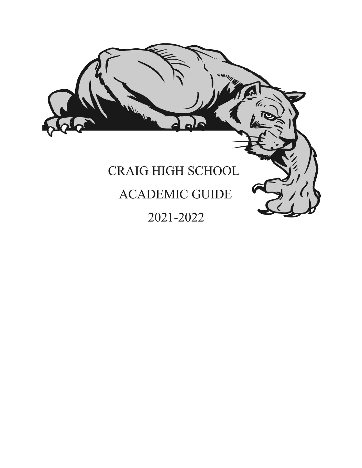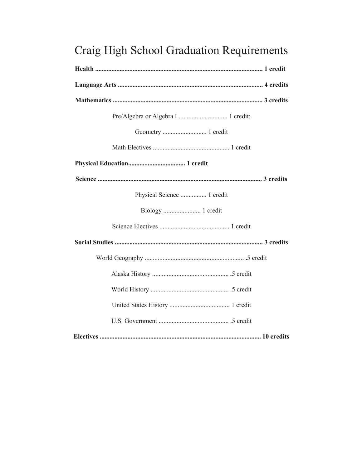# Craig High School Graduation Requirements

| Pre/Algebra or Algebra I  1 credit: |
|-------------------------------------|
| Geometry  1 credit                  |
|                                     |
|                                     |
|                                     |
| Physical Science  1 credit          |
|                                     |
|                                     |
|                                     |
|                                     |
|                                     |
|                                     |
|                                     |
|                                     |
|                                     |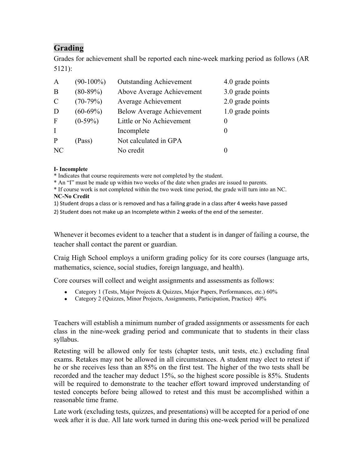### **Grading**

Grades for achievement shall be reported each nine-week marking period as follows (AR 5121):

| $(90-100\%)$ | <b>Outstanding Achievement</b>   | 4.0 grade points |
|--------------|----------------------------------|------------------|
| $(80-89%)$   | Above Average Achievement        | 3.0 grade points |
| $(70-79%)$   | <b>Average Achievement</b>       | 2.0 grade points |
| $(60-69%)$   | <b>Below Average Achievement</b> | 1.0 grade points |
| $(0-59\%)$   | Little or No Achievement         |                  |
|              | Incomplete                       |                  |
| (Pass)       | Not calculated in GPA            |                  |
|              | No credit                        |                  |
|              |                                  |                  |

#### **I- Incomplete**

\* Indicates that course requirements were not completed by the student.

\* An "I" must be made up within two weeks of the date when grades are issued to parents.

\* If course work is not completed within the two week time period, the grade will turn into an NC. **NC-No Credit** 

1) Student drops a class or is removed and has a failing grade in a class after 4 weeks have passed

2) Student does not make up an Incomplete within 2 weeks of the end of the semester.

Whenever it becomes evident to a teacher that a student is in danger of failing a course, the teacher shall contact the parent or guardian.

Craig High School employs a uniform grading policy for its core courses (language arts, mathematics, science, social studies, foreign language, and health).

Core courses will collect and weight assignments and assessments as follows:

- Category 1 (Tests, Major Projects & Quizzes, Major Papers, Performances, etc.) 60%
- Category 2 (Quizzes, Minor Projects, Assignments, Participation, Practice) 40%

Teachers will establish a minimum number of graded assignments or assessments for each class in the nine-week grading period and communicate that to students in their class syllabus.

Retesting will be allowed only for tests (chapter tests, unit tests, etc.) excluding final exams. Retakes may not be allowed in all circumstances. A student may elect to retest if he or she receives less than an 85% on the first test. The higher of the two tests shall be recorded and the teacher may deduct 15%, so the highest score possible is 85%. Students will be required to demonstrate to the teacher effort toward improved understanding of tested concepts before being allowed to retest and this must be accomplished within a reasonable time frame.

Late work (excluding tests, quizzes, and presentations) will be accepted for a period of one week after it is due. All late work turned in during this one-week period will be penalized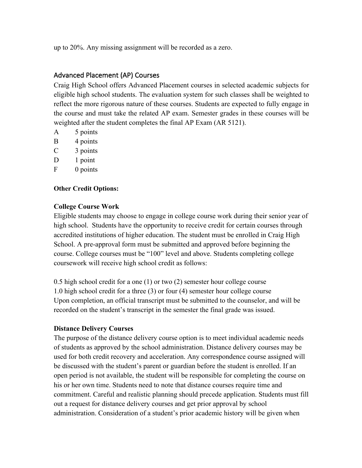up to 20%. Any missing assignment will be recorded as a zero.

#### Advanced Placement (AP) Courses

Craig High School offers Advanced Placement courses in selected academic subjects for eligible high school students. The evaluation system for such classes shall be weighted to reflect the more rigorous nature of these courses. Students are expected to fully engage in the course and must take the related AP exam. Semester grades in these courses will be weighted after the student completes the final AP Exam (AR 5121).

- A 5 points
- B 4 points
- C 3 points
- D 1 point
- F 0 points

#### **Other Credit Options:**

#### **College Course Work**

Eligible students may choose to engage in college course work during their senior year of high school. Students have the opportunity to receive credit for certain courses through accredited institutions of higher education. The student must be enrolled in Craig High School. A pre-approval form must be submitted and approved before beginning the course. College courses must be "100" level and above. Students completing college coursework will receive high school credit as follows:

0.5 high school credit for a one (1) or two (2) semester hour college course 1.0 high school credit for a three (3) or four (4) semester hour college course Upon completion, an official transcript must be submitted to the counselor, and will be recorded on the student's transcript in the semester the final grade was issued.

#### **Distance Delivery Courses**

The purpose of the distance delivery course option is to meet individual academic needs of students as approved by the school administration. Distance delivery courses may be used for both credit recovery and acceleration. Any correspondence course assigned will be discussed with the student's parent or guardian before the student is enrolled. If an open period is not available, the student will be responsible for completing the course on his or her own time. Students need to note that distance courses require time and commitment. Careful and realistic planning should precede application. Students must fill out a request for distance delivery courses and get prior approval by school administration. Consideration of a student's prior academic history will be given when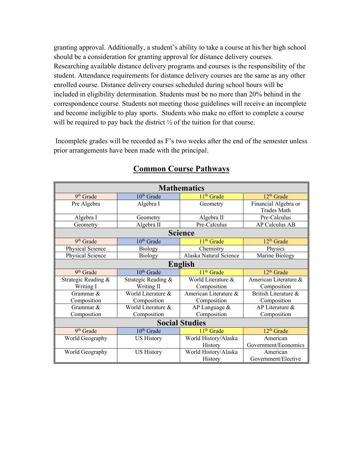granting approval. Additionally, a student's ability to take a course at his/her high school should be a consideration for granting approval for distance delivery courses. Researching available distance delivery programs and courses is the responsibility of the student. Attendance requirements for distance delivery courses are the same as any other enrolled course. Distance delivery courses scheduled during school hours will be included in eligibility determination. Students must be no more than 20% behind in the correspondence course. Students not meeting those guidelines will receive an incomplete and become ineligible to play sports. Students who make no effort to complete a course will be required to pay back the district  $\frac{1}{2}$  of the tuition for that course.

Incomplete grades will be recorded as F's two weeks after the end of the semester unless prior arrangements have been made with the principal.

| <b>Mathematics</b>    |                        |                        |                        |
|-----------------------|------------------------|------------------------|------------------------|
| 9 <sup>th</sup> Grade | $10th$ Grade           | 11 <sup>th</sup> Grade | 12 <sup>th</sup> Grade |
| Pre Algebra           | Algebra I              | Geometry               | Financial Algebra or   |
|                       |                        |                        | <b>Trades Math</b>     |
| Algebra I             | Geometry               | Algebra II             | Pre-Calculus           |
| Geometry              | Algebra II             | Pre-Calculus           | AP Calculus AB         |
|                       |                        | <b>Science</b>         |                        |
| 9 <sup>th</sup> Grade | $10th$ Grade           | 11 <sup>th</sup> Grade | 12 <sup>th</sup> Grade |
| Physical Science      | <b>Biology</b>         | Chemistry              | Physics                |
| Physical Science      | Biology                | Alaska Natural Science | Marine Biology         |
| English               |                        |                        |                        |
| 9 <sup>th</sup> Grade | $10th$ Grade           | 11 <sup>th</sup> Grade | $12th$ Grade           |
| Strategic Reading &   | Strategic Reading &    | World Literature &     | American Literature &  |
| Writing I             | Writing II             | Composition            | Composition            |
| Grammar &             | World Literature &     | American Literature &  | British Literature &   |
| Composition           | Composition            | Composition            | Composition            |
| Grammar &             | World Literature &     | AP Language &          | AP Literature &        |
| Composition           | Composition            | Composition            | Composition            |
| <b>Social Studies</b> |                        |                        |                        |
| 9 <sup>th</sup> Grade | 10 <sup>th</sup> Grade | 11 <sup>th</sup> Grade | $12th$ Grade           |
| World Geography       | <b>US History</b>      | World History/Alaska   | American               |
|                       |                        | History                | Government/Economics   |
| World Geography       | <b>US History</b>      | World History/Alaska   | American               |
|                       |                        | History                | Government/Elective    |

#### **Common Course Pathways**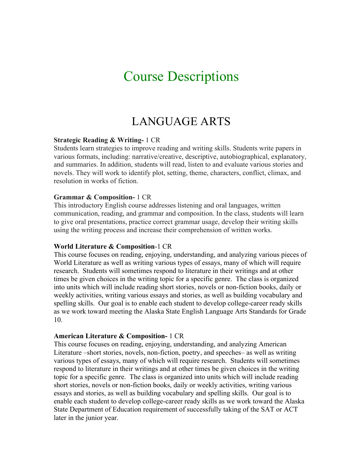# Course Descriptions

# LANGUAGE ARTS

#### **Strategic Reading & Writing-** 1 CR

Students learn strategies to improve reading and writing skills. Students write papers in various formats, including: narrative/creative, descriptive, autobiographical, explanatory, and summaries. In addition, students will read, listen to and evaluate various stories and novels. They will work to identify plot, setting, theme, characters, conflict, climax, and resolution in works of fiction.

#### **Grammar & Composition-** 1 CR

This introductory English course addresses listening and oral languages, written communication, reading, and grammar and composition. In the class, students will learn to give oral presentations, practice correct grammar usage, develop their writing skills using the writing process and increase their comprehension of written works.

#### **World Literature & Composition**-1 CR

This course focuses on reading, enjoying, understanding, and analyzing various pieces of World Literature as well as writing various types of essays, many of which will require research. Students will sometimes respond to literature in their writings and at other times be given choices in the writing topic for a specific genre. The class is organized into units which will include reading short stories, novels or non-fiction books, daily or weekly activities, writing various essays and stories, as well as building vocabulary and spelling skills. Our goal is to enable each student to develop college-career ready skills as we work toward meeting the Alaska State English Language Arts Standards for Grade 10.

#### **American Literature & Composition-** 1 CR

This course focuses on reading, enjoying, understanding, and analyzing American Literature –short stories, novels, non-fiction, poetry, and speeches– as well as writing various types of essays, many of which will require research. Students will sometimes respond to literature in their writings and at other times be given choices in the writing topic for a specific genre. The class is organized into units which will include reading short stories, novels or non-fiction books, daily or weekly activities, writing various essays and stories, as well as building vocabulary and spelling skills. Our goal is to enable each student to develop college-career ready skills as we work toward the Alaska State Department of Education requirement of successfully taking of the SAT or ACT later in the junior year.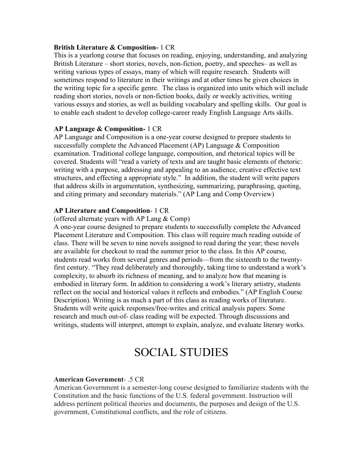#### **British Literature & Composition-** 1 CR

This is a yearlong course that focuses on reading, enjoying, understanding, and analyzing British Literature – short stories, novels, non-fiction, poetry, and speeches– as well as writing various types of essays, many of which will require research. Students will sometimes respond to literature in their writings and at other times be given choices in the writing topic for a specific genre. The class is organized into units which will include reading short stories, novels or non-fiction books, daily or weekly activities, writing various essays and stories, as well as building vocabulary and spelling skills. Our goal is to enable each student to develop college-career ready English Language Arts skills.

#### **AP Language & Composition-** 1 CR

AP Language and Composition is a one-year course designed to prepare students to successfully complete the Advanced Placement (AP) Language & Composition examination. Traditional college language, composition, and rhetorical topics will be covered. Students will "read a variety of texts and are taught basic elements of rhetoric: writing with a purpose, addressing and appealing to an audience, creative effective text structures, and effecting a appropriate style." In addition, the student will write papers that address skills in argumentation, synthesizing, summarizing, paraphrasing, quoting, and citing primary and secondary materials." (AP Lang and Comp Overview)

#### **AP Literature and Composition**- 1 CR

#### (offered alternate years with AP Lang & Comp)

A one-year course designed to prepare students to successfully complete the Advanced Placement Literature and Composition. This class will require much reading outside of class. There will be seven to nine novels assigned to read during the year; these novels are available for checkout to read the summer prior to the class. In this AP course, students read works from several genres and periods—from the sixteenth to the twentyfirst century. "They read deliberately and thoroughly, taking time to understand a work's complexity, to absorb its richness of meaning, and to analyze how that meaning is embodied in literary form. In addition to considering a work's literary artistry, students reflect on the social and historical values it reflects and embodies." (AP English Course Description). Writing is as much a part of this class as reading works of literature. Students will write quick responses/free-writes and critical analysis papers. Some research and much out-of- class reading will be expected. Through discussions and writings, students will interpret, attempt to explain, analyze, and evaluate literary works.

## SOCIAL STUDIES

#### **American Government**- .5 CR

American Government is a semester-long course designed to familiarize students with the Constitution and the basic functions of the U.S. federal government. Instruction will address pertinent political theories and documents, the purposes and design of the U.S. government, Constitutional conflicts, and the role of citizens.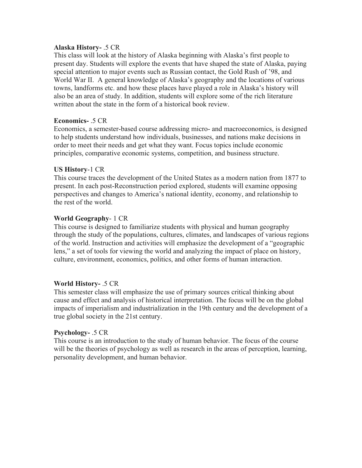#### **Alaska History-** .5 CR

This class will look at the history of Alaska beginning with Alaska's first people to present day. Students will explore the events that have shaped the state of Alaska, paying special attention to major events such as Russian contact, the Gold Rush of '98, and World War II. A general knowledge of Alaska's geography and the locations of various towns, landforms etc. and how these places have played a role in Alaska's history will also be an area of study. In addition, students will explore some of the rich literature written about the state in the form of a historical book review.

#### **Economics-** .5 CR

Economics, a semester-based course addressing micro- and macroeconomics, is designed to help students understand how individuals, businesses, and nations make decisions in order to meet their needs and get what they want. Focus topics include economic principles, comparative economic systems, competition, and business structure.

#### **US History**-1 CR

This course traces the development of the United States as a modern nation from 1877 to present. In each post-Reconstruction period explored, students will examine opposing perspectives and changes to America's national identity, economy, and relationship to the rest of the world.

#### **World Geography**- 1 CR

This course is designed to familiarize students with physical and human geography through the study of the populations, cultures, climates, and landscapes of various regions of the world. Instruction and activities will emphasize the development of a "geographic lens," a set of tools for viewing the world and analyzing the impact of place on history, culture, environment, economics, politics, and other forms of human interaction.

#### **World History-** .5 CR

This semester class will emphasize the use of primary sources critical thinking about cause and effect and analysis of historical interpretation. The focus will be on the global impacts of imperialism and industrialization in the 19th century and the development of a true global society in the 21st century.

#### **Psychology-** .5 CR

This course is an introduction to the study of human behavior. The focus of the course will be the theories of psychology as well as research in the areas of perception, learning, personality development, and human behavior.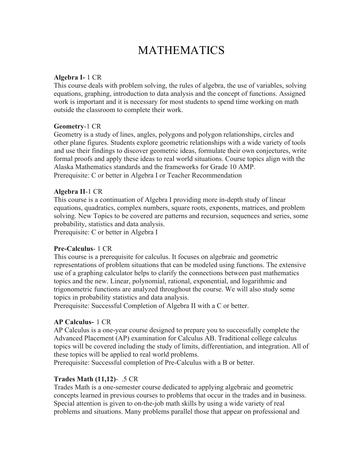# MATHEMATICS

#### **Algebra I-** 1 CR

This course deals with problem solving, the rules of algebra, the use of variables, solving equations, graphing, introduction to data analysis and the concept of functions. Assigned work is important and it is necessary for most students to spend time working on math outside the classroom to complete their work.

#### **Geometry**-1 CR

Geometry is a study of lines, angles, polygons and polygon relationships, circles and other plane figures. Students explore geometric relationships with a wide variety of tools and use their findings to discover geometric ideas, formulate their own conjectures, write formal proofs and apply these ideas to real world situations. Course topics align with the Alaska Mathematics standards and the frameworks for Grade 10 AMP. Prerequisite: C or better in Algebra I or Teacher Recommendation

#### **Algebra II**-1 CR

This course is a continuation of Algebra I providing more in-depth study of linear equations, quadratics, complex numbers, square roots, exponents, matrices, and problem solving. New Topics to be covered are patterns and recursion, sequences and series, some probability, statistics and data analysis. Prerequisite: C or better in Algebra I

#### **Pre-Calculus**- 1 CR

This course is a prerequisite for calculus. It focuses on algebraic and geometric representations of problem situations that can be modeled using functions. The extensive use of a graphing calculator helps to clarify the connections between past mathematics topics and the new. Linear, polynomial, rational, exponential, and logarithmic and trigonometric functions are analyzed throughout the course. We will also study some topics in probability statistics and data analysis.

Prerequisite: Successful Completion of Algebra II with a C or better.

#### **AP Calculus-** 1 CR

AP Calculus is a one-year course designed to prepare you to successfully complete the Advanced Placement (AP) examination for Calculus AB. Traditional college calculus topics will be covered including the study of limits, differentiation, and integration. All of these topics will be applied to real world problems.

Prerequisite: Successful completion of Pre-Calculus with a B or better.

#### **Trades Math (11,12)**- .5 CR

Trades Math is a one-semester course dedicated to applying algebraic and geometric concepts learned in previous courses to problems that occur in the trades and in business. Special attention is given to on-the-job math skills by using a wide variety of real problems and situations. Many problems parallel those that appear on professional and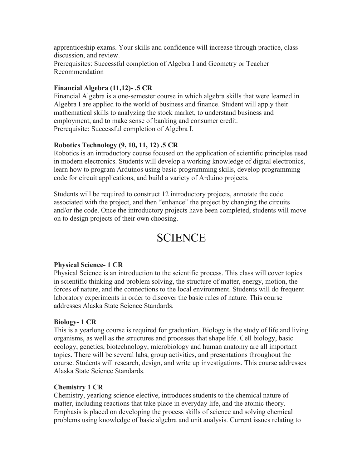apprenticeship exams. Your skills and confidence will increase through practice, class discussion, and review. Prerequisites: Successful completion of Algebra I and Geometry or Teacher Recommendation

#### **Financial Algebra (11,12)- .5 CR**

Financial Algebra is a one-semester course in which algebra skills that were learned in Algebra I are applied to the world of business and finance. Student will apply their mathematical skills to analyzing the stock market, to understand business and employment, and to make sense of banking and consumer credit. Prerequisite: Successful completion of Algebra I.

#### **Robotics Technology (9, 10, 11, 12) .5 CR**

Robotics is an introductory course focused on the application of scientific principles used in modern electronics. Students will develop a working knowledge of digital electronics, learn how to program Arduinos using basic programming skills, develop programming code for circuit applications, and build a variety of Arduino projects.

Students will be required to construct 12 introductory projects, annotate the code associated with the project, and then "enhance" the project by changing the circuits and/or the code. Once the introductory projects have been completed, students will move on to design projects of their own choosing.

### **SCIENCE**

#### **Physical Science- 1 CR**

Physical Science is an introduction to the scientific process. This class will cover topics in scientific thinking and problem solving, the structure of matter, energy, motion, the forces of nature, and the connections to the local environment. Students will do frequent laboratory experiments in order to discover the basic rules of nature. This course addresses Alaska State Science Standards.

#### **Biology- 1 CR**

This is a yearlong course is required for graduation. Biology is the study of life and living organisms, as well as the structures and processes that shape life. Cell biology, basic ecology, genetics, biotechnology, microbiology and human anatomy are all important topics. There will be several labs, group activities, and presentations throughout the course. Students will research, design, and write up investigations. This course addresses Alaska State Science Standards.

#### **Chemistry 1 CR**

Chemistry, yearlong science elective, introduces students to the chemical nature of matter, including reactions that take place in everyday life, and the atomic theory. Emphasis is placed on developing the process skills of science and solving chemical problems using knowledge of basic algebra and unit analysis. Current issues relating to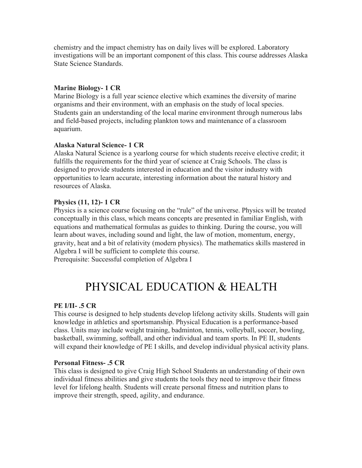chemistry and the impact chemistry has on daily lives will be explored. Laboratory investigations will be an important component of this class. This course addresses Alaska State Science Standards.

#### **Marine Biology- 1 CR**

Marine Biology is a full year science elective which examines the diversity of marine organisms and their environment, with an emphasis on the study of local species. Students gain an understanding of the local marine environment through numerous labs and field-based projects, including plankton tows and maintenance of a classroom aquarium.

#### **Alaska Natural Science- 1 CR**

Alaska Natural Science is a yearlong course for which students receive elective credit; it fulfills the requirements for the third year of science at Craig Schools. The class is designed to provide students interested in education and the visitor industry with opportunities to learn accurate, interesting information about the natural history and resources of Alaska.

#### **Physics (11, 12)- 1 CR**

Physics is a science course focusing on the "rule" of the universe. Physics will be treated conceptually in this class, which means concepts are presented in familiar English, with equations and mathematical formulas as guides to thinking. During the course, you will learn about waves, including sound and light, the law of motion, momentum, energy, gravity, heat and a bit of relativity (modern physics). The mathematics skills mastered in Algebra I will be sufficient to complete this course.

Prerequisite: Successful completion of Algebra I

# PHYSICAL EDUCATION & HEALTH

#### **PE I/II- .5 CR**

This course is designed to help students develop lifelong activity skills. Students will gain knowledge in athletics and sportsmanship. Physical Education is a performance-based class. Units may include weight training, badminton, tennis, volleyball, soccer, bowling, basketball, swimming, softball, and other individual and team sports. In PE II, students will expand their knowledge of PE I skills, and develop individual physical activity plans.

#### **Personal Fitness- .5 CR**

This class is designed to give Craig High School Students an understanding of their own individual fitness abilities and give students the tools they need to improve their fitness level for lifelong health. Students will create personal fitness and nutrition plans to improve their strength, speed, agility, and endurance.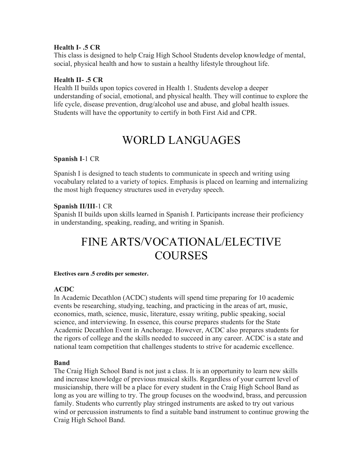#### **Health I- .5 CR**

This class is designed to help Craig High School Students develop knowledge of mental, social, physical health and how to sustain a healthy lifestyle throughout life.

#### **Health II- .5 CR**

Health II builds upon topics covered in Health 1. Students develop a deeper understanding of social, emotional, and physical health. They will continue to explore the life cycle, disease prevention, drug/alcohol use and abuse, and global health issues. Students will have the opportunity to certify in both First Aid and CPR.

# WORLD LANGUAGES

#### **Spanish I**-1 CR

Spanish I is designed to teach students to communicate in speech and writing using vocabulary related to a variety of topics. Emphasis is placed on learning and internalizing the most high frequency structures used in everyday speech.

#### **Spanish II/III**-1 CR

Spanish II builds upon skills learned in Spanish I. Participants increase their proficiency in understanding, speaking, reading, and writing in Spanish.

# FINE ARTS/VOCATIONAL/ELECTIVE **COURSES**

#### **Electives earn .5 credits per semester.**

#### **ACDC**

In Academic Decathlon (ACDC) students will spend time preparing for 10 academic events be researching, studying, teaching, and practicing in the areas of art, music, economics, math, science, music, literature, essay writing, public speaking, social science, and interviewing. In essence, this course prepares students for the State Academic Decathlon Event in Anchorage. However, ACDC also prepares students for the rigors of college and the skills needed to succeed in any career. ACDC is a state and national team competition that challenges students to strive for academic excellence.

#### **Band**

The Craig High School Band is not just a class. It is an opportunity to learn new skills and increase knowledge of previous musical skills. Regardless of your current level of musicianship, there will be a place for every student in the Craig High School Band as long as you are willing to try. The group focuses on the woodwind, brass, and percussion family. Students who currently play stringed instruments are asked to try out various wind or percussion instruments to find a suitable band instrument to continue growing the Craig High School Band.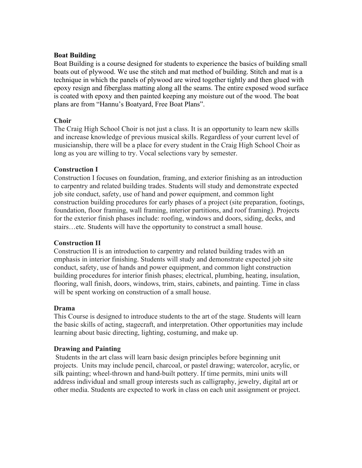#### **Boat Building**

Boat Building is a course designed for students to experience the basics of building small boats out of plywood. We use the stitch and mat method of building. Stitch and mat is a technique in which the panels of plywood are wired together tightly and then glued with epoxy resign and fiberglass matting along all the seams. The entire exposed wood surface is coated with epoxy and then painted keeping any moisture out of the wood. The boat plans are from "Hannu's Boatyard, Free Boat Plans".

#### **Choir**

The Craig High School Choir is not just a class. It is an opportunity to learn new skills and increase knowledge of previous musical skills. Regardless of your current level of musicianship, there will be a place for every student in the Craig High School Choir as long as you are willing to try. Vocal selections vary by semester.

#### **Construction I**

Construction I focuses on foundation, framing, and exterior finishing as an introduction to carpentry and related building trades. Students will study and demonstrate expected job site conduct, safety, use of hand and power equipment, and common light construction building procedures for early phases of a project (site preparation, footings, foundation, floor framing, wall framing, interior partitions, and roof framing). Projects for the exterior finish phases include: roofing, windows and doors, siding, decks, and stairs…etc. Students will have the opportunity to construct a small house.

#### **Construction II**

Construction II is an introduction to carpentry and related building trades with an emphasis in interior finishing. Students will study and demonstrate expected job site conduct, safety, use of hands and power equipment, and common light construction building procedures for interior finish phases; electrical, plumbing, heating, insulation, flooring, wall finish, doors, windows, trim, stairs, cabinets, and painting. Time in class will be spent working on construction of a small house.

#### **Drama**

This Course is designed to introduce students to the art of the stage. Students will learn the basic skills of acting, stagecraft, and interpretation. Other opportunities may include learning about basic directing, lighting, costuming, and make up.

#### **Drawing and Painting**

Students in the art class will learn basic design principles before beginning unit projects. Units may include pencil, charcoal, or pastel drawing; watercolor, acrylic, or silk painting; wheel-thrown and hand-built pottery. If time permits, mini units will address individual and small group interests such as calligraphy, jewelry, digital art or other media. Students are expected to work in class on each unit assignment or project.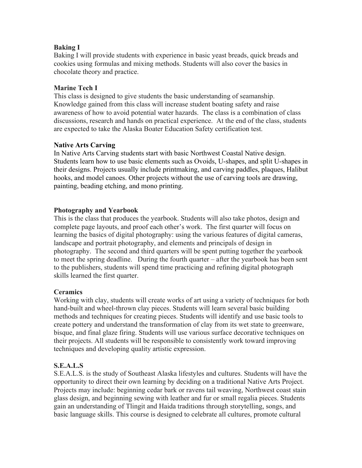#### **Baking I**

Baking I will provide students with experience in basic yeast breads, quick breads and cookies using formulas and mixing methods. Students will also cover the basics in chocolate theory and practice.

#### **Marine Tech I**

This class is designed to give students the basic understanding of seamanship. Knowledge gained from this class will increase student boating safety and raise awareness of how to avoid potential water hazards. The class is a combination of class discussions, research and hands on practical experience. At the end of the class, students are expected to take the Alaska Boater Education Safety certification test.

#### **Native Arts Carving**

In Native Arts Carving students start with basic Northwest Coastal Native design. Students learn how to use basic elements such as Ovoids, U-shapes, and split U-shapes in their designs. Projects usually include printmaking, and carving paddles, plaques, Halibut hooks, and model canoes. Other projects without the use of carving tools are drawing, painting, beading etching, and mono printing.

#### **Photography and Yearbook**

This is the class that produces the yearbook. Students will also take photos, design and complete page layouts, and proof each other's work. The first quarter will focus on learning the basics of digital photography: using the various features of digital cameras, landscape and portrait photography, and elements and principals of design in photography. The second and third quarters will be spent putting together the yearbook to meet the spring deadline. During the fourth quarter – after the yearbook has been sent to the publishers, students will spend time practicing and refining digital photograph skills learned the first quarter.

#### **Ceramics**

Working with clay, students will create works of art using a variety of techniques for both hand-built and wheel-thrown clay pieces. Students will learn several basic building methods and techniques for creating pieces. Students will identify and use basic tools to create pottery and understand the transformation of clay from its wet state to greenware, bisque, and final glaze firing. Students will use various surface decorative techniques on their projects. All students will be responsible to consistently work toward improving techniques and developing quality artistic expression.

#### **S.E.A.L.S**

S.E.A.L.S. is the study of Southeast Alaska lifestyles and cultures. Students will have the opportunity to direct their own learning by deciding on a traditional Native Arts Project. Projects may include: beginning cedar bark or ravens tail weaving, Northwest coast stain glass design, and beginning sewing with leather and fur or small regalia pieces. Students gain an understanding of Tlingit and Haida traditions through storytelling, songs, and basic language skills. This course is designed to celebrate all cultures, promote cultural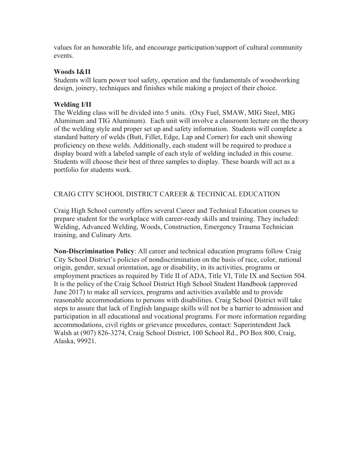values for an honorable life, and encourage participation/support of cultural community events.

#### **Woods I&II**

Students will learn power tool safety, operation and the fundamentals of woodworking design, joinery, techniques and finishes while making a project of their choice.

#### **Welding I/II**

The Welding class will be divided into 5 units. (Oxy Fuel, SMAW, MIG Steel, MIG Aluminum and TIG Aluminum). Each unit will involve a classroom lecture on the theory of the welding style and proper set up and safety information. Students will complete a standard battery of welds (Butt, Fillet, Edge, Lap and Corner) for each unit showing proficiency on these welds. Additionally, each student will be required to produce a display board with a labeled sample of each style of welding included in this course. Students will choose their best of three samples to display. These boards will act as a portfolio for students work.

#### CRAIG CITY SCHOOL DISTRICT CAREER & TECHNICAL EDUCATION

Craig High School currently offers several Career and Technical Education courses to prepare student for the workplace with career-ready skills and training. They included: Welding, Advanced Welding, Woods, Construction, Emergency Trauma Technician training, and Culinary Arts.

**Non-Discrimination Policy**: All career and technical education programs follow Craig City School District's policies of nondiscrimination on the basis of race, color, national origin, gender, sexual orientation, age or disability, in its activities, programs or employment practices as required by Title II of ADA, Title VI, Title IX and Section 504. It is the policy of the Craig School District High School Student Handbook (approved June 2017) to make all services, programs and activities available and to provide reasonable accommodations to persons with disabilities. Craig School District will take steps to assure that lack of English language skills will not be a barrier to admission and participation in all educational and vocational programs. For more information regarding accommodations, civil rights or grievance procedures, contact: Superintendent Jack Walsh at (907) 826-3274, Craig School District, 100 School Rd., PO Box 800, Craig, Alaska, 99921.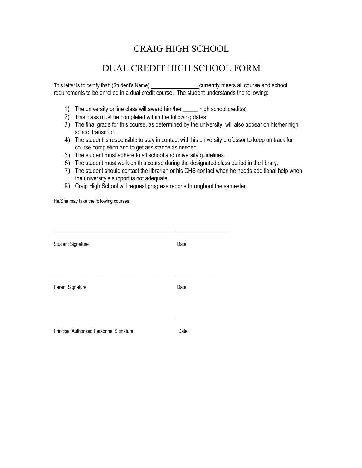### CRAIG HIGH SCHOOL

### DUAL CREDIT HIGH SCHOOL FORM

This letter is to certify that: (Student's Name) **Example 2** currently meets all course and school requirements to be enrolled in a dual credit course. The student understands the following:

- 1) The university online class will award him/her \_\_\_\_\_ high school credit(s).
- 2) This class must be completed within the following dates:
- 3) The final grade for this course, as determined by the university, will also appear on his/her high school transcript.
- 4) The student is responsible to stay in contact with his university professor to keep on track for course completion and to get assistance as needed.
- 5) The student must adhere to all school and university guidelines.
- 6) The student must work on this course during the designated class period in the library.
- 7) The student should contact the librarian or his CHS contact when he needs additional help when the university's support is not adequate.
- 8) Craig High School will request progress reports throughout the semester.

He/She may take the following courses:

| <b>Student Signature</b>                 | Date |
|------------------------------------------|------|
|                                          |      |
|                                          |      |
|                                          |      |
| Parent Signature                         | Date |
|                                          |      |
|                                          |      |
|                                          | Date |
| Principal/Authorized Personnel Signature |      |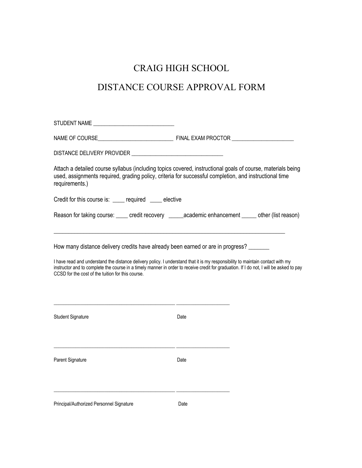### CRAIG HIGH SCHOOL

## DISTANCE COURSE APPROVAL FORM

| STUDENT NAME                                                                                                                                                                                                                                                                                                                                                                                                            |      |  |
|-------------------------------------------------------------------------------------------------------------------------------------------------------------------------------------------------------------------------------------------------------------------------------------------------------------------------------------------------------------------------------------------------------------------------|------|--|
|                                                                                                                                                                                                                                                                                                                                                                                                                         |      |  |
| DISTANCE DELIVERY PROVIDER NAME AND RESERVE TO A SERIES AND RESERVE TO A SERIES AND RESERVE TO A SERIES AND RE                                                                                                                                                                                                                                                                                                          |      |  |
| Attach a detailed course syllabus (including topics covered, instructional goals of course, materials being<br>used, assignments required, grading policy, criteria for successful completion, and instructional time<br>requirements.)                                                                                                                                                                                 |      |  |
| Credit for this course is: ____ required ____ elective                                                                                                                                                                                                                                                                                                                                                                  |      |  |
| Reason for taking course: _____ credit recovery _______academic enhancement ______ other (list reason)                                                                                                                                                                                                                                                                                                                  |      |  |
| How many distance delivery credits have already been earned or are in progress? _____<br>I have read and understand the distance delivery policy. I understand that it is my responsibility to maintain contact with my<br>instructor and to complete the course in a timely manner in order to receive credit for graduation. If I do not, I will be asked to pay<br>CCSD for the cost of the tuition for this course. |      |  |
| <b>Student Signature</b>                                                                                                                                                                                                                                                                                                                                                                                                | Date |  |
| Parent Signature                                                                                                                                                                                                                                                                                                                                                                                                        | Date |  |
| Principal/Authorized Personnel Signature                                                                                                                                                                                                                                                                                                                                                                                | Date |  |